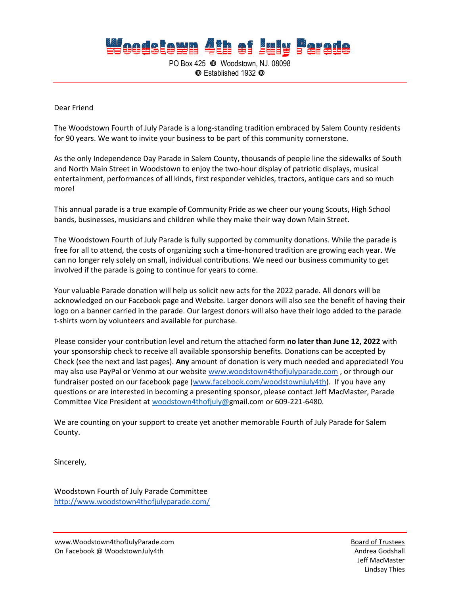## **Weedstewn 4th of July Parade**

PO Box 425 Woodstown, NJ. 08098 Established 1932

Dear Friend

The Woodstown Fourth of July Parade is a long-standing tradition embraced by Salem County residents for 90 years. We want to invite your business to be part of this community cornerstone.

As the only Independence Day Parade in Salem County, thousands of people line the sidewalks of South and North Main Street in Woodstown to enjoy the two-hour display of patriotic displays, musical entertainment, performances of all kinds, first responder vehicles, tractors, antique cars and so much more!

This annual parade is a true example of Community Pride as we cheer our young Scouts, High School bands, businesses, musicians and children while they make their way down Main Street.

The Woodstown Fourth of July Parade is fully supported by community donations. While the parade is free for all to attend, the costs of organizing such a time-honored tradition are growing each year. We can no longer rely solely on small, individual contributions. We need our business community to get involved if the parade is going to continue for years to come.

Your valuable Parade donation will help us solicit new acts for the 2022 parade. All donors will be acknowledged on our Facebook page and Website. Larger donors will also see the benefit of having their logo on a banner carried in the parade. Our largest donors will also have their logo added to the parade t-shirts worn by volunteers and available for purchase.

Please consider your contribution level and return the attached form **no later than June 12, 2022** with your sponsorship check to receive all available sponsorship benefits. Donations can be accepted by Check (see the next and last pages). **Any** amount of donation is very much needed and appreciated! You may also use PayPal or Venmo at our website [www.woodstown4thofjulyparade.com](http://www.woodstown4thofjulyparade.com/) , or through our fundraiser posted on our facebook page [\(www.facebook.com/woodstownjuly4th\)](http://www.facebook.com/woodstownjuly4th). If you have any questions or are interested in becoming a presenting sponsor, please contact Jeff MacMaster, Parade Committee Vice President at [woodstown4thofjuly@g](mailto:woodstown4thofjuly@comcast.net)mail.com or 609-221-6480.

We are counting on your support to create yet another memorable Fourth of July Parade for Salem County.

Sincerely,

Woodstown Fourth of July Parade Committee <http://www.woodstown4thofjulyparade.com/>

www.Woodstown4thofJulyParade.com example and the state of Trustees and the Board of Trustees On Facebook @ WoodstownJuly4th Andrea Godshall Andrea Godshall

Jeff MacMaster Lindsay Thies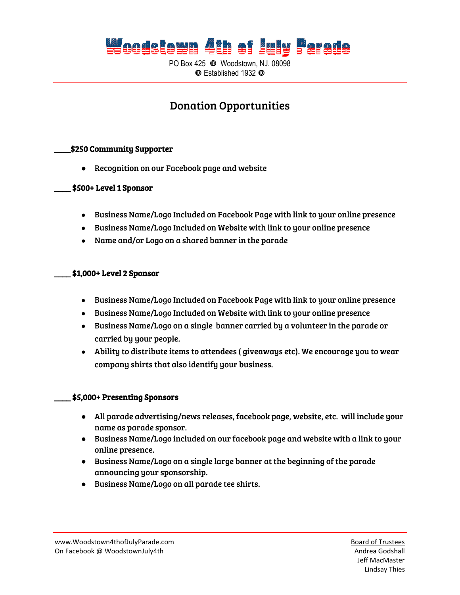### **Weedstewn 4th of July Parade**

PO Box 425 Woodstown, NJ. 08098  $\Phi$  Established 1932  $\Phi$ 

### Donation Opportunities

#### \_\_\_\_\$250 Community Supporter

**●** Recognition on our Facebook page and website

#### \_\_\_\_ \$500+ Level 1 Sponsor

- Business Name/Logo Included on Facebook Page with link to your online presence
- Business Name/Logo Included on Website with link to your online presence
- Name and/or Logo on a shared banner in the parade

#### \_\_\_\_ \$1,000+ Level 2 Sponsor

- Business Name/Logo Included on Facebook Page with link to your online presence
- Business Name/Logo Included on Website with link to your online presence
- Business Name/Logo on a single banner carried by a volunteer in the parade or carried by your people.
- Ability to distribute items to attendees ( giveaways etc). We encourage you to wear company shirts that also identify your business.

#### \_\_\_\_ \$5,000+ Presenting Sponsors

- All parade advertising/news releases, facebook page, website, etc. will include your name as parade sponsor.
- Business Name/Logo included on our facebook page and website with a link to your online presence.
- Business Name/Logo on a single large banner at the beginning of the parade announcing your sponsorship.
- Business Name/Logo on all parade tee shirts.